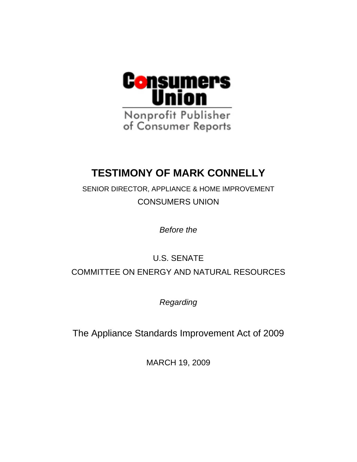

# **TESTIMONY OF MARK CONNELLY**

SENIOR DIRECTOR, APPLIANCE & HOME IMPROVEMENT CONSUMERS UNION

*Before the* 

## U.S. SENATE COMMITTEE ON ENERGY AND NATURAL RESOURCES

*Regarding* 

The Appliance Standards Improvement Act of 2009

MARCH 19, 2009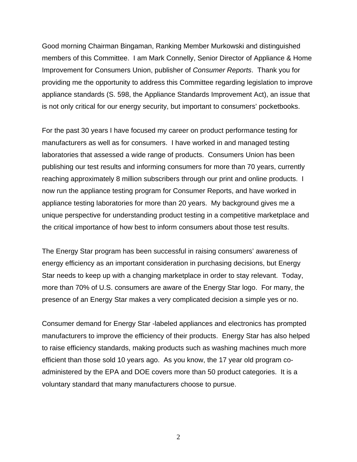Good morning Chairman Bingaman, Ranking Member Murkowski and distinguished members of this Committee. I am Mark Connelly, Senior Director of Appliance & Home Improvement for Consumers Union, publisher of *Consumer Reports*. Thank you for providing me the opportunity to address this Committee regarding legislation to improve appliance standards (S. 598, the Appliance Standards Improvement Act), an issue that is not only critical for our energy security, but important to consumers' pocketbooks.

For the past 30 years I have focused my career on product performance testing for manufacturers as well as for consumers. I have worked in and managed testing laboratories that assessed a wide range of products. Consumers Union has been publishing our test results and informing consumers for more than 70 years, currently reaching approximately 8 million subscribers through our print and online products. I now run the appliance testing program for Consumer Reports, and have worked in appliance testing laboratories for more than 20 years. My background gives me a unique perspective for understanding product testing in a competitive marketplace and the critical importance of how best to inform consumers about those test results.

The Energy Star program has been successful in raising consumers' awareness of energy efficiency as an important consideration in purchasing decisions, but Energy Star needs to keep up with a changing marketplace in order to stay relevant. Today, more than 70% of U.S. consumers are aware of the Energy Star logo. For many, the presence of an Energy Star makes a very complicated decision a simple yes or no.

Consumer demand for Energy Star -labeled appliances and electronics has prompted manufacturers to improve the efficiency of their products. Energy Star has also helped to raise efficiency standards, making products such as washing machines much more efficient than those sold 10 years ago. As you know, the 17 year old program coadministered by the EPA and DOE covers more than 50 product categories. It is a voluntary standard that many manufacturers choose to pursue.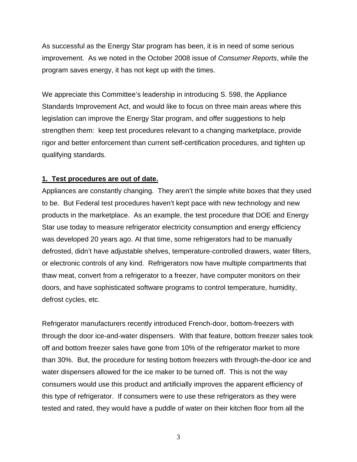As successful as the Energy Star program has been, it is in need of some serious improvement. As we noted in the October 2008 issue of *Consumer Reports*, while the program saves energy, it has not kept up with the times.

We appreciate this Committee's leadership in introducing S. 598, the Appliance Standards Improvement Act, and would like to focus on three main areas where this legislation can improve the Energy Star program, and offer suggestions to help strengthen them: keep test procedures relevant to a changing marketplace, provide rigor and better enforcement than current self-certification procedures, and tighten up qualifying standards.

#### **1. Test procedures are out of date.**

Appliances are constantly changing. They aren't the simple white boxes that they used to be. But Federal test procedures haven't kept pace with new technology and new products in the marketplace. As an example, the test procedure that DOE and Energy Star use today to measure refrigerator electricity consumption and energy efficiency was developed 20 years ago. At that time, some refrigerators had to be manually defrosted, didn't have adjustable shelves, temperature-controlled drawers, water filters, or electronic controls of any kind. Refrigerators now have multiple compartments that thaw meat, convert from a refrigerator to a freezer, have computer monitors on their doors, and have sophisticated software programs to control temperature, humidity, defrost cycles, etc.

Refrigerator manufacturers recently introduced French-door, bottom-freezers with through the door ice-and-water dispensers. With that feature, bottom freezer sales took off and bottom freezer sales have gone from 10% of the refrigerator market to more than 30%. But, the procedure for testing bottom freezers with through-the-door ice and water dispensers allowed for the ice maker to be turned off. This is not the way consumers would use this product and artificially improves the apparent efficiency of this type of refrigerator. If consumers were to use these refrigerators as they were tested and rated, they would have a puddle of water on their kitchen floor from all the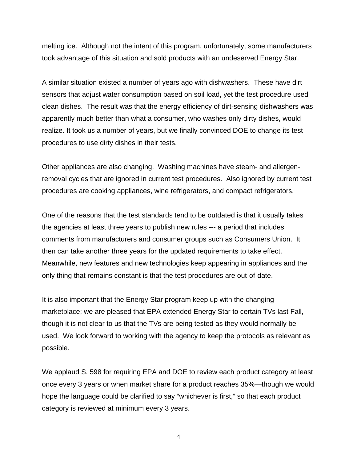melting ice. Although not the intent of this program, unfortunately, some manufacturers took advantage of this situation and sold products with an undeserved Energy Star.

A similar situation existed a number of years ago with dishwashers. These have dirt sensors that adjust water consumption based on soil load, yet the test procedure used clean dishes. The result was that the energy efficiency of dirt-sensing dishwashers was apparently much better than what a consumer, who washes only dirty dishes, would realize. It took us a number of years, but we finally convinced DOE to change its test procedures to use dirty dishes in their tests.

Other appliances are also changing. Washing machines have steam- and allergenremoval cycles that are ignored in current test procedures. Also ignored by current test procedures are cooking appliances, wine refrigerators, and compact refrigerators.

One of the reasons that the test standards tend to be outdated is that it usually takes the agencies at least three years to publish new rules --- a period that includes comments from manufacturers and consumer groups such as Consumers Union. It then can take another three years for the updated requirements to take effect. Meanwhile, new features and new technologies keep appearing in appliances and the only thing that remains constant is that the test procedures are out-of-date.

It is also important that the Energy Star program keep up with the changing marketplace; we are pleased that EPA extended Energy Star to certain TVs last Fall, though it is not clear to us that the TVs are being tested as they would normally be used. We look forward to working with the agency to keep the protocols as relevant as possible.

We applaud S. 598 for requiring EPA and DOE to review each product category at least once every 3 years or when market share for a product reaches 35%—though we would hope the language could be clarified to say "whichever is first," so that each product category is reviewed at minimum every 3 years.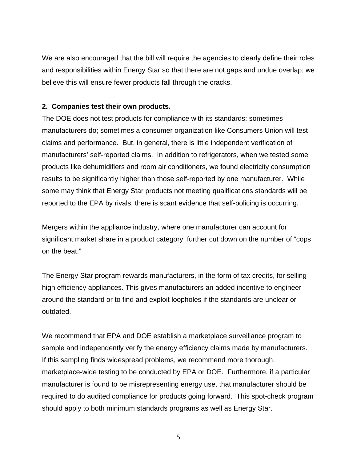We are also encouraged that the bill will require the agencies to clearly define their roles and responsibilities within Energy Star so that there are not gaps and undue overlap; we believe this will ensure fewer products fall through the cracks.

### **2. Companies test their own products.**

The DOE does not test products for compliance with its standards; sometimes manufacturers do; sometimes a consumer organization like Consumers Union will test claims and performance. But, in general, there is little independent verification of manufacturers' self-reported claims. In addition to refrigerators, when we tested some products like dehumidifiers and room air conditioners, we found electricity consumption results to be significantly higher than those self-reported by one manufacturer. While some may think that Energy Star products not meeting qualifications standards will be reported to the EPA by rivals, there is scant evidence that self-policing is occurring.

Mergers within the appliance industry, where one manufacturer can account for significant market share in a product category, further cut down on the number of "cops on the beat."

The Energy Star program rewards manufacturers, in the form of tax credits, for selling high efficiency appliances. This gives manufacturers an added incentive to engineer around the standard or to find and exploit loopholes if the standards are unclear or outdated.

We recommend that EPA and DOE establish a marketplace surveillance program to sample and independently verify the energy efficiency claims made by manufacturers. If this sampling finds widespread problems, we recommend more thorough, marketplace-wide testing to be conducted by EPA or DOE. Furthermore, if a particular manufacturer is found to be misrepresenting energy use, that manufacturer should be required to do audited compliance for products going forward. This spot-check program should apply to both minimum standards programs as well as Energy Star.